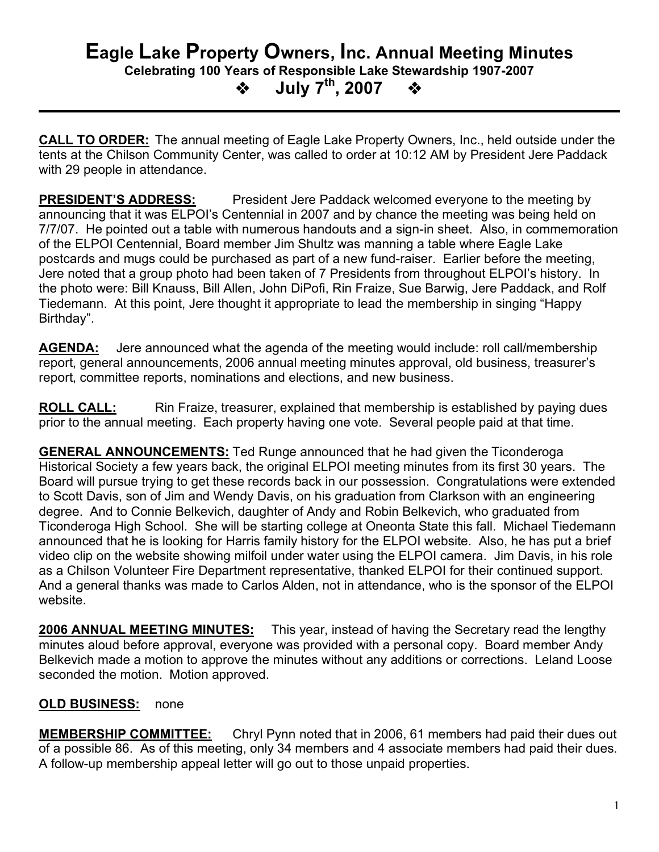## **Eagle Lake Property Owners, Inc. Annual Meeting Minutes Celebrating 100 Years of Responsible Lake Stewardship 1907-2007 July 7th , 2007**

**CALL TO ORDER:** The annual meeting of Eagle Lake Property Owners, Inc., held outside under the tents at the Chilson Community Center, was called to order at 10:12 AM by President Jere Paddack with 29 people in attendance.

**PRESIDENT'S ADDRESS:** President Jere Paddack welcomed everyone to the meeting by announcing that it was ELPOI's Centennial in 2007 and by chance the meeting was being held on 7/7/07. He pointed out a table with numerous handouts and a sign-in sheet. Also, in commemoration of the ELPOI Centennial, Board member Jim Shultz was manning a table where Eagle Lake postcards and mugs could be purchased as part of a new fund-raiser. Earlier before the meeting, Jere noted that a group photo had been taken of 7 Presidents from throughout ELPOI's history. In the photo were: Bill Knauss, Bill Allen, John DiPofi, Rin Fraize, Sue Barwig, Jere Paddack, and Rolf Tiedemann. At this point, Jere thought it appropriate to lead the membership in singing "Happy Birthday".

**AGENDA:** Jere announced what the agenda of the meeting would include: roll call/membership report, general announcements, 2006 annual meeting minutes approval, old business, treasurer's report, committee reports, nominations and elections, and new business.

**ROLL CALL:** Rin Fraize, treasurer, explained that membership is established by paying dues prior to the annual meeting. Each property having one vote. Several people paid at that time.

**GENERAL ANNOUNCEMENTS:** Ted Runge announced that he had given the Ticonderoga Historical Society a few years back, the original ELPOI meeting minutes from its first 30 years. The Board will pursue trying to get these records back in our possession. Congratulations were extended to Scott Davis, son of Jim and Wendy Davis, on his graduation from Clarkson with an engineering degree. And to Connie Belkevich, daughter of Andy and Robin Belkevich, who graduated from Ticonderoga High School. She will be starting college at Oneonta State this fall. Michael Tiedemann announced that he is looking for Harris family history for the ELPOI website. Also, he has put a brief video clip on the website showing milfoil under water using the ELPOI camera. Jim Davis, in his role as a Chilson Volunteer Fire Department representative, thanked ELPOI for their continued support. And a general thanks was made to Carlos Alden, not in attendance, who is the sponsor of the ELPOI website.

**2006 ANNUAL MEETING MINUTES:** This year, instead of having the Secretary read the lengthy minutes aloud before approval, everyone was provided with a personal copy. Board member Andy Belkevich made a motion to approve the minutes without any additions or corrections. Leland Loose seconded the motion. Motion approved.

## **OLD BUSINESS:** none

**MEMBERSHIP COMMITTEE:** Chryl Pynn noted that in 2006, 61 members had paid their dues out of a possible 86. As of this meeting, only 34 members and 4 associate members had paid their dues. A follow-up membership appeal letter will go out to those unpaid properties.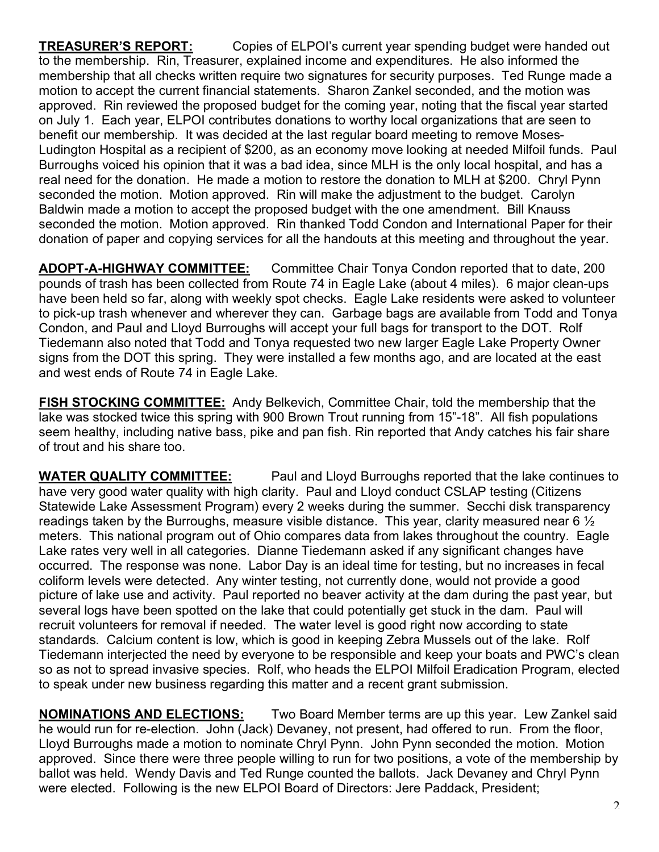**TREASURER'S REPORT:** Copies of ELPOI's current year spending budget were handed out to the membership. Rin, Treasurer, explained income and expenditures. He also informed the membership that all checks written require two signatures for security purposes. Ted Runge made a motion to accept the current financial statements. Sharon Zankel seconded, and the motion was approved. Rin reviewed the proposed budget for the coming year, noting that the fiscal year started on July 1. Each year, ELPOI contributes donations to worthy local organizations that are seen to benefit our membership. It was decided at the last regular board meeting to remove Moses-Ludington Hospital as a recipient of \$200, as an economy move looking at needed Milfoil funds. Paul Burroughs voiced his opinion that it was a bad idea, since MLH is the only local hospital, and has a real need for the donation. He made a motion to restore the donation to MLH at \$200. Chryl Pynn seconded the motion. Motion approved. Rin will make the adjustment to the budget. Carolyn Baldwin made a motion to accept the proposed budget with the one amendment. Bill Knauss seconded the motion. Motion approved. Rin thanked Todd Condon and International Paper for their donation of paper and copying services for all the handouts at this meeting and throughout the year.

**ADOPT-A-HIGHWAY COMMITTEE:** Committee Chair Tonya Condon reported that to date, 200 pounds of trash has been collected from Route 74 in Eagle Lake (about 4 miles). 6 major clean-ups have been held so far, along with weekly spot checks. Eagle Lake residents were asked to volunteer to pick-up trash whenever and wherever they can. Garbage bags are available from Todd and Tonya Condon, and Paul and Lloyd Burroughs will accept your full bags for transport to the DOT. Rolf Tiedemann also noted that Todd and Tonya requested two new larger Eagle Lake Property Owner signs from the DOT this spring. They were installed a few months ago, and are located at the east and west ends of Route 74 in Eagle Lake.

**FISH STOCKING COMMITTEE:** Andy Belkevich, Committee Chair, told the membership that the lake was stocked twice this spring with 900 Brown Trout running from 15"-18". All fish populations seem healthy, including native bass, pike and pan fish. Rin reported that Andy catches his fair share of trout and his share too.

**WATER QUALITY COMMITTEE:** Paul and Lloyd Burroughs reported that the lake continues to have very good water quality with high clarity. Paul and Lloyd conduct CSLAP testing (Citizens Statewide Lake Assessment Program) every 2 weeks during the summer. Secchi disk transparency readings taken by the Burroughs, measure visible distance. This year, clarity measured near 6 ½ meters. This national program out of Ohio compares data from lakes throughout the country. Eagle Lake rates very well in all categories. Dianne Tiedemann asked if any significant changes have occurred. The response was none. Labor Day is an ideal time for testing, but no increases in fecal coliform levels were detected. Any winter testing, not currently done, would not provide a good picture of lake use and activity. Paul reported no beaver activity at the dam during the past year, but several logs have been spotted on the lake that could potentially get stuck in the dam. Paul will recruit volunteers for removal if needed. The water level is good right now according to state standards. Calcium content is low, which is good in keeping Zebra Mussels out of the lake. Rolf Tiedemann interjected the need by everyone to be responsible and keep your boats and PWC's clean so as not to spread invasive species. Rolf, who heads the ELPOI Milfoil Eradication Program, elected to speak under new business regarding this matter and a recent grant submission.

**NOMINATIONS AND ELECTIONS:** Two Board Member terms are up this year. Lew Zankel said he would run for re-election. John (Jack) Devaney, not present, had offered to run. From the floor, Lloyd Burroughs made a motion to nominate Chryl Pynn. John Pynn seconded the motion. Motion approved. Since there were three people willing to run for two positions, a vote of the membership by ballot was held. Wendy Davis and Ted Runge counted the ballots. Jack Devaney and Chryl Pynn were elected. Following is the new ELPOI Board of Directors: Jere Paddack, President;